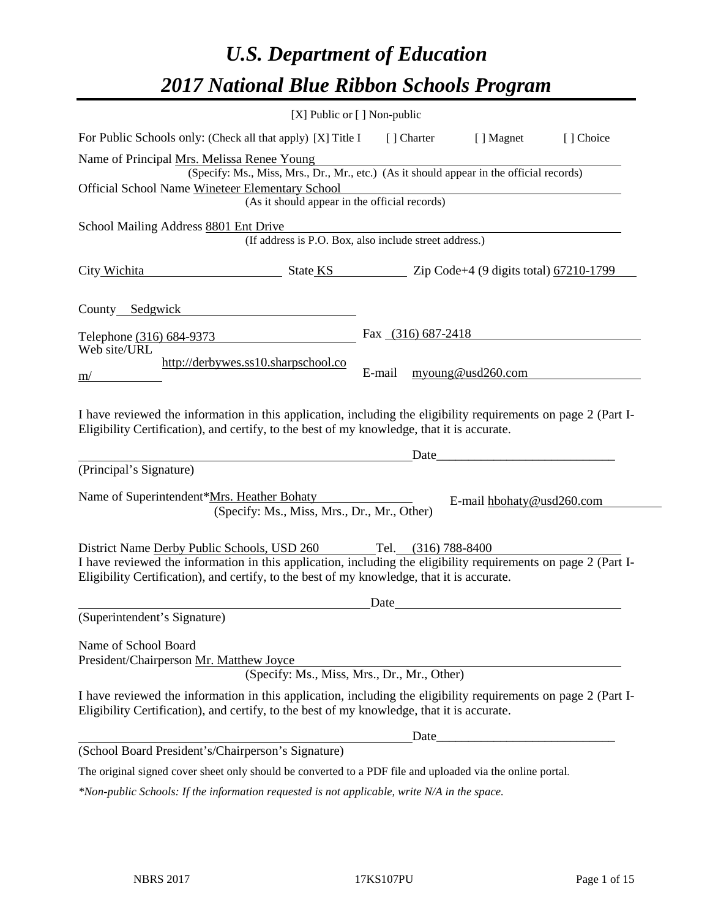# *U.S. Department of Education 2017 National Blue Ribbon Schools Program*

|                                                                                                                                                                                                                                                             | [X] Public or [] Non-public                                                                                                               |        |                      |                                                           |           |
|-------------------------------------------------------------------------------------------------------------------------------------------------------------------------------------------------------------------------------------------------------------|-------------------------------------------------------------------------------------------------------------------------------------------|--------|----------------------|-----------------------------------------------------------|-----------|
| For Public Schools only: (Check all that apply) [X] Title I                                                                                                                                                                                                 |                                                                                                                                           |        | [ ] Charter          | [ ] Magnet                                                | [] Choice |
| Name of Principal Mrs. Melissa Renee Young<br>Official School Name Wineteer Elementary School                                                                                                                                                               | (Specify: Ms., Miss, Mrs., Dr., Mr., etc.) (As it should appear in the official records)<br>(As it should appear in the official records) |        |                      | <u> 1989 - Johann Barnett, fransk politiker (d. 1989)</u> |           |
| School Mailing Address 8801 Ent Drive                                                                                                                                                                                                                       |                                                                                                                                           |        |                      |                                                           |           |
|                                                                                                                                                                                                                                                             | (If address is P.O. Box, also include street address.)                                                                                    |        |                      |                                                           |           |
| City Wichita                                                                                                                                                                                                                                                | $\frac{1}{2}$ State KS $\frac{1}{2}$ Zip Code+4 (9 digits total) 67210-1799                                                               |        |                      |                                                           |           |
| County Sedgwick County Sedgwick                                                                                                                                                                                                                             |                                                                                                                                           |        |                      |                                                           |           |
| Telephone (316) 684-9373                                                                                                                                                                                                                                    |                                                                                                                                           |        | Fax $(316)$ 687-2418 |                                                           |           |
| Web site/URL<br>m/                                                                                                                                                                                                                                          | http://derbywes.ss10.sharpschool.co                                                                                                       | E-mail |                      | myoung@usd260.com                                         |           |
| I have reviewed the information in this application, including the eligibility requirements on page 2 (Part I-<br>Eligibility Certification), and certify, to the best of my knowledge, that it is accurate.                                                |                                                                                                                                           |        |                      |                                                           |           |
| (Principal's Signature)                                                                                                                                                                                                                                     |                                                                                                                                           |        | Date                 |                                                           |           |
| Name of Superintendent*Mrs. Heather Bohaty                                                                                                                                                                                                                  | (Specify: Ms., Miss, Mrs., Dr., Mr., Other)                                                                                               |        |                      | E-mail hbohaty@usd260.com                                 |           |
| District Name Derby Public Schools, USD 260<br>I have reviewed the information in this application, including the eligibility requirements on page 2 (Part I-<br>Eligibility Certification), and certify, to the best of my knowledge, that it is accurate. |                                                                                                                                           |        | Tel. (316) 788-8400  |                                                           |           |
| (Superintendent's Signature)                                                                                                                                                                                                                                |                                                                                                                                           | Date   |                      |                                                           |           |
| Name of School Board<br>President/Chairperson Mr. Matthew Joyce                                                                                                                                                                                             | (Specify: Ms., Miss, Mrs., Dr., Mr., Other)                                                                                               |        |                      |                                                           |           |
| I have reviewed the information in this application, including the eligibility requirements on page 2 (Part I-<br>Eligibility Certification), and certify, to the best of my knowledge, that it is accurate.                                                |                                                                                                                                           |        |                      |                                                           |           |
|                                                                                                                                                                                                                                                             |                                                                                                                                           |        |                      |                                                           |           |
| (School Board President's/Chairperson's Signature)                                                                                                                                                                                                          |                                                                                                                                           |        |                      |                                                           |           |
| The original signed cover sheet only should be converted to a PDF file and uploaded via the online portal.                                                                                                                                                  |                                                                                                                                           |        |                      |                                                           |           |

*\*Non-public Schools: If the information requested is not applicable, write N/A in the space.*

 $\overline{\phantom{0}}$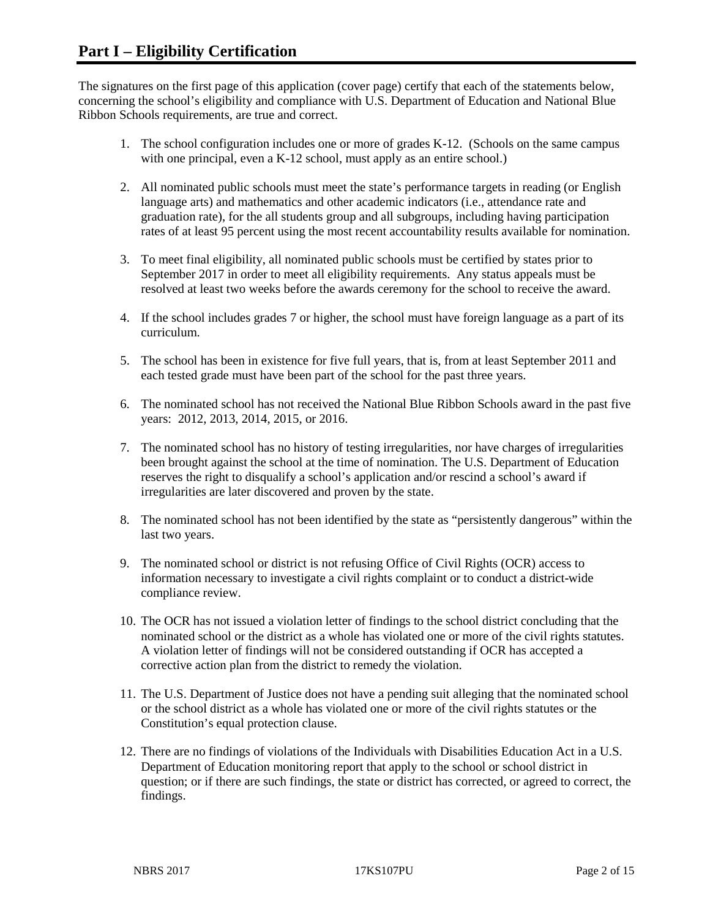The signatures on the first page of this application (cover page) certify that each of the statements below, concerning the school's eligibility and compliance with U.S. Department of Education and National Blue Ribbon Schools requirements, are true and correct.

- 1. The school configuration includes one or more of grades K-12. (Schools on the same campus with one principal, even a K-12 school, must apply as an entire school.)
- 2. All nominated public schools must meet the state's performance targets in reading (or English language arts) and mathematics and other academic indicators (i.e., attendance rate and graduation rate), for the all students group and all subgroups, including having participation rates of at least 95 percent using the most recent accountability results available for nomination.
- 3. To meet final eligibility, all nominated public schools must be certified by states prior to September 2017 in order to meet all eligibility requirements. Any status appeals must be resolved at least two weeks before the awards ceremony for the school to receive the award.
- 4. If the school includes grades 7 or higher, the school must have foreign language as a part of its curriculum.
- 5. The school has been in existence for five full years, that is, from at least September 2011 and each tested grade must have been part of the school for the past three years.
- 6. The nominated school has not received the National Blue Ribbon Schools award in the past five years: 2012, 2013, 2014, 2015, or 2016.
- 7. The nominated school has no history of testing irregularities, nor have charges of irregularities been brought against the school at the time of nomination. The U.S. Department of Education reserves the right to disqualify a school's application and/or rescind a school's award if irregularities are later discovered and proven by the state.
- 8. The nominated school has not been identified by the state as "persistently dangerous" within the last two years.
- 9. The nominated school or district is not refusing Office of Civil Rights (OCR) access to information necessary to investigate a civil rights complaint or to conduct a district-wide compliance review.
- 10. The OCR has not issued a violation letter of findings to the school district concluding that the nominated school or the district as a whole has violated one or more of the civil rights statutes. A violation letter of findings will not be considered outstanding if OCR has accepted a corrective action plan from the district to remedy the violation.
- 11. The U.S. Department of Justice does not have a pending suit alleging that the nominated school or the school district as a whole has violated one or more of the civil rights statutes or the Constitution's equal protection clause.
- 12. There are no findings of violations of the Individuals with Disabilities Education Act in a U.S. Department of Education monitoring report that apply to the school or school district in question; or if there are such findings, the state or district has corrected, or agreed to correct, the findings.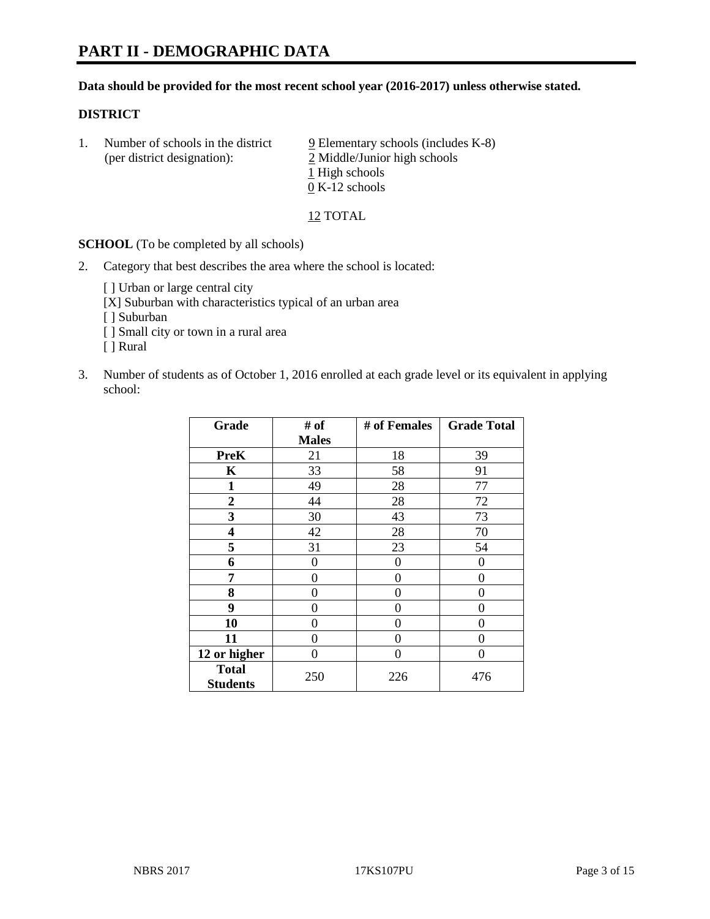#### **Data should be provided for the most recent school year (2016-2017) unless otherwise stated.**

#### **DISTRICT**

1. Number of schools in the district  $9$  Elementary schools (includes K-8) (per district designation): 2 Middle/Junior high schools 1 High schools 0 K-12 schools

12 TOTAL

**SCHOOL** (To be completed by all schools)

2. Category that best describes the area where the school is located:

[] Urban or large central city

[X] Suburban with characteristics typical of an urban area

[ ] Suburban

- [ ] Small city or town in a rural area
- [ ] Rural
- 3. Number of students as of October 1, 2016 enrolled at each grade level or its equivalent in applying school:

| Grade                           | # of         | # of Females | <b>Grade Total</b> |
|---------------------------------|--------------|--------------|--------------------|
|                                 | <b>Males</b> |              |                    |
| <b>PreK</b>                     | 21           | 18           | 39                 |
| $\mathbf K$                     | 33           | 58           | 91                 |
| $\mathbf{1}$                    | 49           | 28           | 77                 |
| $\overline{2}$                  | 44           | 28           | 72                 |
| 3                               | 30           | 43           | 73                 |
| 4                               | 42           | 28           | 70                 |
| 5                               | 31           | 23           | 54                 |
| 6                               | 0            | $\theta$     | 0                  |
| 7                               | 0            | 0            | 0                  |
| 8                               | 0            | 0            | 0                  |
| 9                               | 0            | 0            | 0                  |
| 10                              | 0            | 0            | 0                  |
| 11                              | 0            | 0            | $\mathbf{\Omega}$  |
| 12 or higher                    | 0            | 0            | 0                  |
| <b>Total</b><br><b>Students</b> | 250          | 226          | 476                |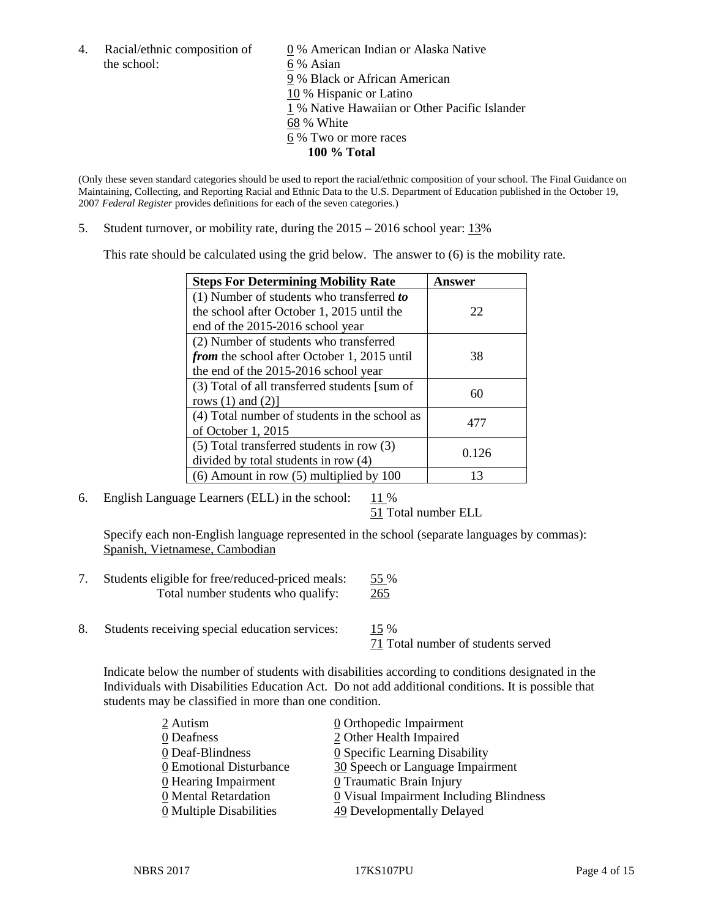the school: 6 % Asian

4. Racial/ethnic composition of  $\qquad \qquad \underline{0}$  % American Indian or Alaska Native 9 % Black or African American 10 % Hispanic or Latino 1 % Native Hawaiian or Other Pacific Islander 68 % White 6 % Two or more races **100 % Total**

(Only these seven standard categories should be used to report the racial/ethnic composition of your school. The Final Guidance on Maintaining, Collecting, and Reporting Racial and Ethnic Data to the U.S. Department of Education published in the October 19, 2007 *Federal Register* provides definitions for each of the seven categories.)

5. Student turnover, or mobility rate, during the 2015 – 2016 school year: 13%

This rate should be calculated using the grid below. The answer to (6) is the mobility rate.

| <b>Steps For Determining Mobility Rate</b>         | Answer |  |
|----------------------------------------------------|--------|--|
| (1) Number of students who transferred to          |        |  |
| the school after October 1, 2015 until the         | 22     |  |
| end of the 2015-2016 school year                   |        |  |
| (2) Number of students who transferred             |        |  |
| <i>from</i> the school after October 1, 2015 until | 38     |  |
| the end of the 2015-2016 school year               |        |  |
| (3) Total of all transferred students [sum of      | 60     |  |
| rows $(1)$ and $(2)$ ]                             |        |  |
| (4) Total number of students in the school as      | 477    |  |
| of October 1, 2015                                 |        |  |
| (5) Total transferred students in row (3)          |        |  |
| divided by total students in row (4)               | 0.126  |  |
| $(6)$ Amount in row $(5)$ multiplied by 100        | 13     |  |

6. English Language Learners (ELL) in the school:  $11\%$ 

51 Total number ELL

Specify each non-English language represented in the school (separate languages by commas): Spanish, Vietnamese, Cambodian

- 7. Students eligible for free/reduced-priced meals: 55 % Total number students who qualify: 265
- 8. Students receiving special education services: 15 %

71 Total number of students served

Indicate below the number of students with disabilities according to conditions designated in the Individuals with Disabilities Education Act. Do not add additional conditions. It is possible that students may be classified in more than one condition.

| 2 Autism                              | $\underline{0}$ Orthopedic Impairment   |
|---------------------------------------|-----------------------------------------|
| 0 Deafness                            | 2 Other Health Impaired                 |
| 0 Deaf-Blindness                      | 0 Specific Learning Disability          |
| 0 Emotional Disturbance               | 30 Speech or Language Impairment        |
| $\underline{0}$ Hearing Impairment    | 0 Traumatic Brain Injury                |
| 0 Mental Retardation                  | 0 Visual Impairment Including Blindness |
| $\underline{0}$ Multiple Disabilities | 49 Developmentally Delayed              |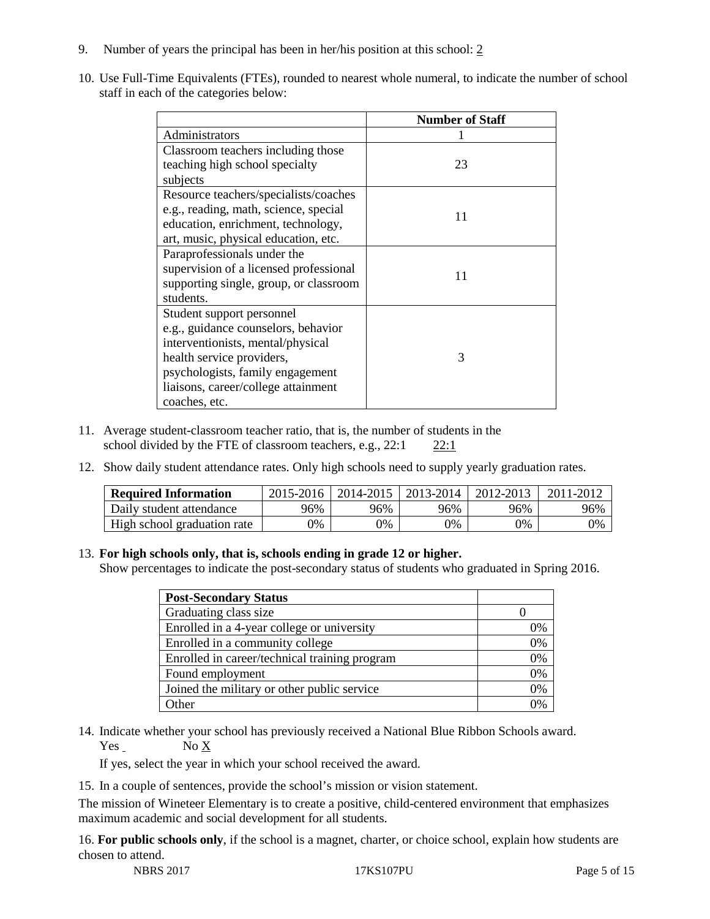- 9. Number of years the principal has been in her/his position at this school: 2
- 10. Use Full-Time Equivalents (FTEs), rounded to nearest whole numeral, to indicate the number of school staff in each of the categories below:

|                                        | <b>Number of Staff</b> |
|----------------------------------------|------------------------|
| Administrators                         |                        |
| Classroom teachers including those     |                        |
| teaching high school specialty         | 23                     |
| subjects                               |                        |
| Resource teachers/specialists/coaches  |                        |
| e.g., reading, math, science, special  | 11                     |
| education, enrichment, technology,     |                        |
| art, music, physical education, etc.   |                        |
| Paraprofessionals under the            |                        |
| supervision of a licensed professional | 11                     |
| supporting single, group, or classroom |                        |
| students.                              |                        |
| Student support personnel              |                        |
| e.g., guidance counselors, behavior    |                        |
| interventionists, mental/physical      |                        |
| health service providers,              | 3                      |
| psychologists, family engagement       |                        |
| liaisons, career/college attainment    |                        |
| coaches, etc.                          |                        |

- 11. Average student-classroom teacher ratio, that is, the number of students in the school divided by the FTE of classroom teachers, e.g., 22:1 22:1
- 12. Show daily student attendance rates. Only high schools need to supply yearly graduation rates.

| <b>Required Information</b> | 2015-2016 | 2014-2015 | 2013-2014 | 2012-2013 |     |
|-----------------------------|-----------|-----------|-----------|-----------|-----|
| Daily student attendance    | 96%       | 96%       | 96%       | 96%       | 96% |
| High school graduation rate | 0%        | 0%        | 0%        | 9%        | 0%  |

#### 13. **For high schools only, that is, schools ending in grade 12 or higher.**

Show percentages to indicate the post-secondary status of students who graduated in Spring 2016.

| <b>Post-Secondary Status</b>                  |    |
|-----------------------------------------------|----|
| Graduating class size                         |    |
| Enrolled in a 4-year college or university    | 0% |
| Enrolled in a community college               | 0% |
| Enrolled in career/technical training program | 0% |
| Found employment                              | 0% |
| Joined the military or other public service   | 0% |
| )ther                                         |    |

14. Indicate whether your school has previously received a National Blue Ribbon Schools award. Yes No X

If yes, select the year in which your school received the award.

15. In a couple of sentences, provide the school's mission or vision statement.

The mission of Wineteer Elementary is to create a positive, child-centered environment that emphasizes maximum academic and social development for all students.

16. **For public schools only**, if the school is a magnet, charter, or choice school, explain how students are chosen to attend.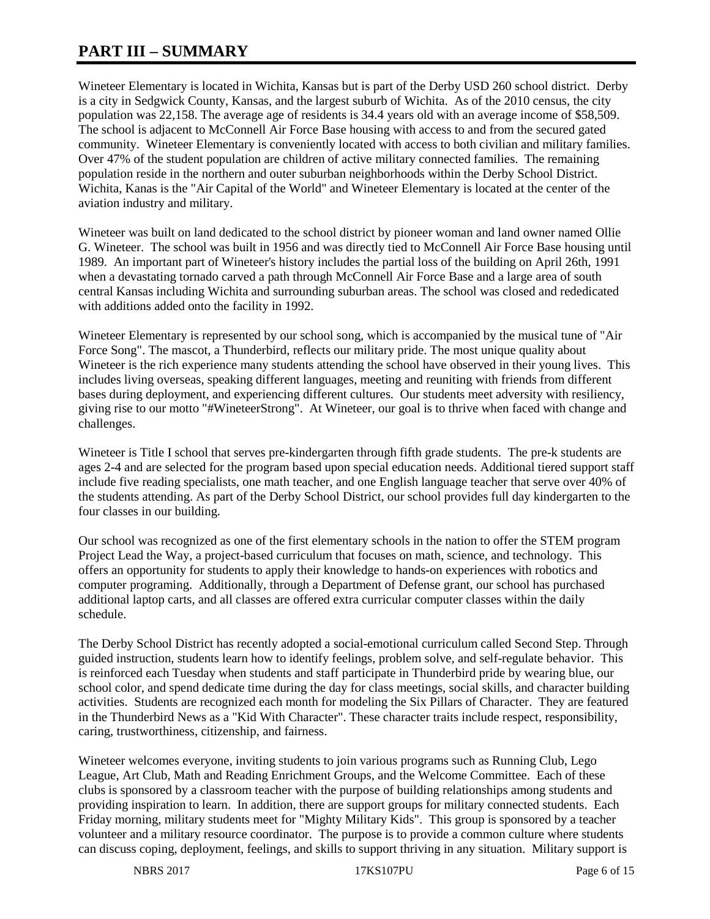# **PART III – SUMMARY**

Wineteer Elementary is located in Wichita, Kansas but is part of the Derby USD 260 school district. Derby is a city in Sedgwick County, Kansas, and the largest suburb of Wichita. As of the 2010 census, the city population was 22,158. The average age of residents is 34.4 years old with an average income of \$58,509. The school is adjacent to McConnell Air Force Base housing with access to and from the secured gated community. Wineteer Elementary is conveniently located with access to both civilian and military families. Over 47% of the student population are children of active military connected families. The remaining population reside in the northern and outer suburban neighborhoods within the Derby School District. Wichita, Kanas is the "Air Capital of the World" and Wineteer Elementary is located at the center of the aviation industry and military.

Wineteer was built on land dedicated to the school district by pioneer woman and land owner named Ollie G. Wineteer. The school was built in 1956 and was directly tied to McConnell Air Force Base housing until 1989. An important part of Wineteer's history includes the partial loss of the building on April 26th, 1991 when a devastating tornado carved a path through McConnell Air Force Base and a large area of south central Kansas including Wichita and surrounding suburban areas. The school was closed and rededicated with additions added onto the facility in 1992.

Wineteer Elementary is represented by our school song, which is accompanied by the musical tune of "Air Force Song". The mascot, a Thunderbird, reflects our military pride. The most unique quality about Wineteer is the rich experience many students attending the school have observed in their young lives. This includes living overseas, speaking different languages, meeting and reuniting with friends from different bases during deployment, and experiencing different cultures. Our students meet adversity with resiliency, giving rise to our motto "#WineteerStrong". At Wineteer, our goal is to thrive when faced with change and challenges.

Wineteer is Title I school that serves pre-kindergarten through fifth grade students. The pre-k students are ages 2-4 and are selected for the program based upon special education needs. Additional tiered support staff include five reading specialists, one math teacher, and one English language teacher that serve over 40% of the students attending. As part of the Derby School District, our school provides full day kindergarten to the four classes in our building.

Our school was recognized as one of the first elementary schools in the nation to offer the STEM program Project Lead the Way, a project-based curriculum that focuses on math, science, and technology. This offers an opportunity for students to apply their knowledge to hands-on experiences with robotics and computer programing. Additionally, through a Department of Defense grant, our school has purchased additional laptop carts, and all classes are offered extra curricular computer classes within the daily schedule.

The Derby School District has recently adopted a social-emotional curriculum called Second Step. Through guided instruction, students learn how to identify feelings, problem solve, and self-regulate behavior. This is reinforced each Tuesday when students and staff participate in Thunderbird pride by wearing blue, our school color, and spend dedicate time during the day for class meetings, social skills, and character building activities. Students are recognized each month for modeling the Six Pillars of Character. They are featured in the Thunderbird News as a "Kid With Character". These character traits include respect, responsibility, caring, trustworthiness, citizenship, and fairness.

Wineteer welcomes everyone, inviting students to join various programs such as Running Club, Lego League, Art Club, Math and Reading Enrichment Groups, and the Welcome Committee. Each of these clubs is sponsored by a classroom teacher with the purpose of building relationships among students and providing inspiration to learn. In addition, there are support groups for military connected students. Each Friday morning, military students meet for "Mighty Military Kids". This group is sponsored by a teacher volunteer and a military resource coordinator. The purpose is to provide a common culture where students can discuss coping, deployment, feelings, and skills to support thriving in any situation. Military support is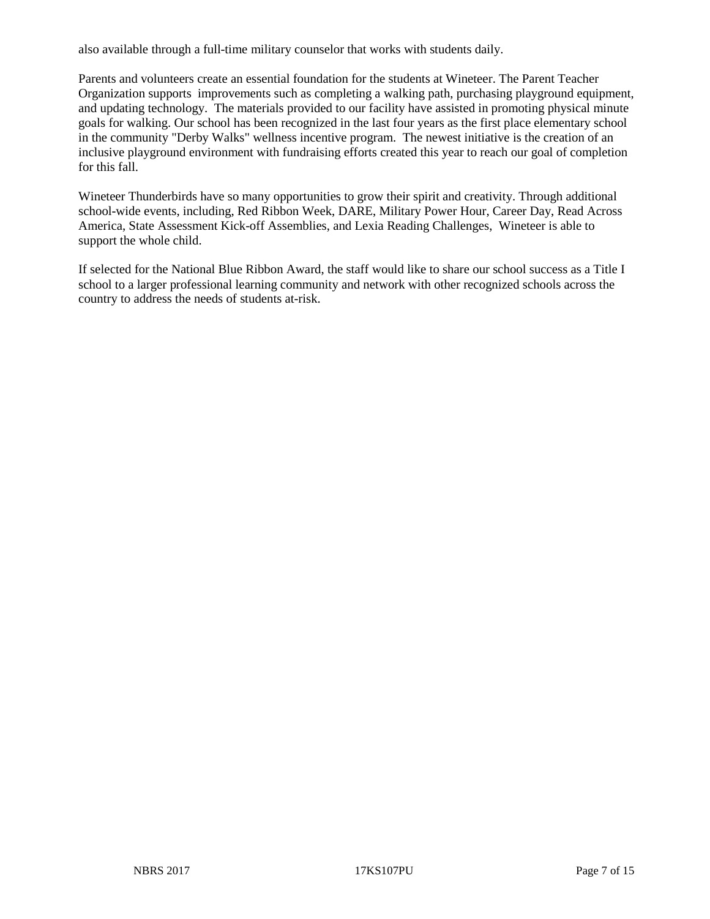also available through a full-time military counselor that works with students daily.

Parents and volunteers create an essential foundation for the students at Wineteer. The Parent Teacher Organization supports improvements such as completing a walking path, purchasing playground equipment, and updating technology. The materials provided to our facility have assisted in promoting physical minute goals for walking. Our school has been recognized in the last four years as the first place elementary school in the community "Derby Walks" wellness incentive program. The newest initiative is the creation of an inclusive playground environment with fundraising efforts created this year to reach our goal of completion for this fall.

Wineteer Thunderbirds have so many opportunities to grow their spirit and creativity. Through additional school-wide events, including, Red Ribbon Week, DARE, Military Power Hour, Career Day, Read Across America, State Assessment Kick-off Assemblies, and Lexia Reading Challenges, Wineteer is able to support the whole child.

If selected for the National Blue Ribbon Award, the staff would like to share our school success as a Title I school to a larger professional learning community and network with other recognized schools across the country to address the needs of students at-risk.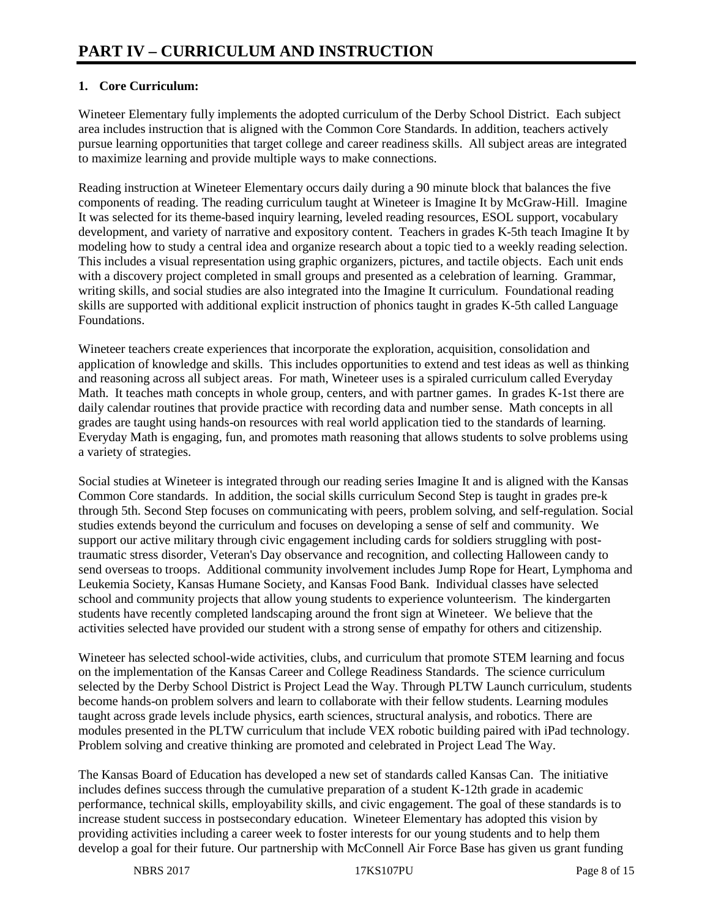## **1. Core Curriculum:**

Wineteer Elementary fully implements the adopted curriculum of the Derby School District. Each subject area includes instruction that is aligned with the Common Core Standards. In addition, teachers actively pursue learning opportunities that target college and career readiness skills. All subject areas are integrated to maximize learning and provide multiple ways to make connections.

Reading instruction at Wineteer Elementary occurs daily during a 90 minute block that balances the five components of reading. The reading curriculum taught at Wineteer is Imagine It by McGraw-Hill. Imagine It was selected for its theme-based inquiry learning, leveled reading resources, ESOL support, vocabulary development, and variety of narrative and expository content. Teachers in grades K-5th teach Imagine It by modeling how to study a central idea and organize research about a topic tied to a weekly reading selection. This includes a visual representation using graphic organizers, pictures, and tactile objects. Each unit ends with a discovery project completed in small groups and presented as a celebration of learning. Grammar, writing skills, and social studies are also integrated into the Imagine It curriculum. Foundational reading skills are supported with additional explicit instruction of phonics taught in grades K-5th called Language Foundations.

Wineteer teachers create experiences that incorporate the exploration, acquisition, consolidation and application of knowledge and skills. This includes opportunities to extend and test ideas as well as thinking and reasoning across all subject areas. For math, Wineteer uses is a spiraled curriculum called Everyday Math. It teaches math concepts in whole group, centers, and with partner games. In grades K-1st there are daily calendar routines that provide practice with recording data and number sense. Math concepts in all grades are taught using hands-on resources with real world application tied to the standards of learning. Everyday Math is engaging, fun, and promotes math reasoning that allows students to solve problems using a variety of strategies.

Social studies at Wineteer is integrated through our reading series Imagine It and is aligned with the Kansas Common Core standards. In addition, the social skills curriculum Second Step is taught in grades pre-k through 5th. Second Step focuses on communicating with peers, problem solving, and self-regulation. Social studies extends beyond the curriculum and focuses on developing a sense of self and community. We support our active military through civic engagement including cards for soldiers struggling with posttraumatic stress disorder, Veteran's Day observance and recognition, and collecting Halloween candy to send overseas to troops. Additional community involvement includes Jump Rope for Heart, Lymphoma and Leukemia Society, Kansas Humane Society, and Kansas Food Bank. Individual classes have selected school and community projects that allow young students to experience volunteerism. The kindergarten students have recently completed landscaping around the front sign at Wineteer. We believe that the activities selected have provided our student with a strong sense of empathy for others and citizenship.

Wineteer has selected school-wide activities, clubs, and curriculum that promote STEM learning and focus on the implementation of the Kansas Career and College Readiness Standards. The science curriculum selected by the Derby School District is Project Lead the Way. Through PLTW Launch curriculum, students become hands-on problem solvers and learn to collaborate with their fellow students. Learning modules taught across grade levels include physics, earth sciences, structural analysis, and robotics. There are modules presented in the PLTW curriculum that include VEX robotic building paired with iPad technology. Problem solving and creative thinking are promoted and celebrated in Project Lead The Way.

The Kansas Board of Education has developed a new set of standards called Kansas Can. The initiative includes defines success through the cumulative preparation of a student K-12th grade in academic performance, technical skills, employability skills, and civic engagement. The goal of these standards is to increase student success in postsecondary education. Wineteer Elementary has adopted this vision by providing activities including a career week to foster interests for our young students and to help them develop a goal for their future. Our partnership with McConnell Air Force Base has given us grant funding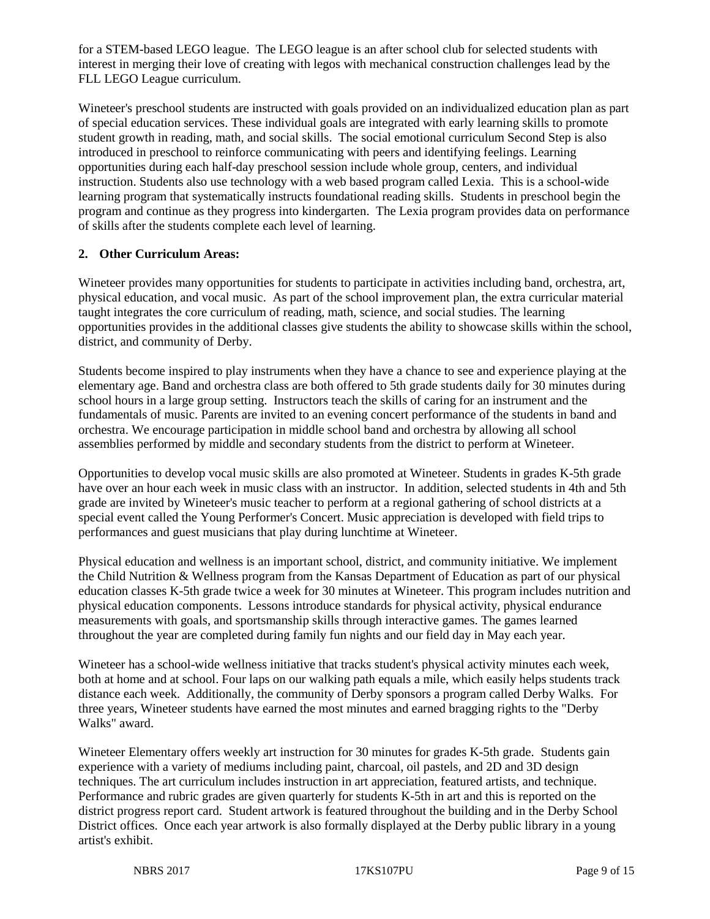for a STEM-based LEGO league. The LEGO league is an after school club for selected students with interest in merging their love of creating with legos with mechanical construction challenges lead by the FLL LEGO League curriculum.

Wineteer's preschool students are instructed with goals provided on an individualized education plan as part of special education services. These individual goals are integrated with early learning skills to promote student growth in reading, math, and social skills. The social emotional curriculum Second Step is also introduced in preschool to reinforce communicating with peers and identifying feelings. Learning opportunities during each half-day preschool session include whole group, centers, and individual instruction. Students also use technology with a web based program called Lexia. This is a school-wide learning program that systematically instructs foundational reading skills. Students in preschool begin the program and continue as they progress into kindergarten. The Lexia program provides data on performance of skills after the students complete each level of learning.

#### **2. Other Curriculum Areas:**

Wineteer provides many opportunities for students to participate in activities including band, orchestra, art, physical education, and vocal music. As part of the school improvement plan, the extra curricular material taught integrates the core curriculum of reading, math, science, and social studies. The learning opportunities provides in the additional classes give students the ability to showcase skills within the school, district, and community of Derby.

Students become inspired to play instruments when they have a chance to see and experience playing at the elementary age. Band and orchestra class are both offered to 5th grade students daily for 30 minutes during school hours in a large group setting. Instructors teach the skills of caring for an instrument and the fundamentals of music. Parents are invited to an evening concert performance of the students in band and orchestra. We encourage participation in middle school band and orchestra by allowing all school assemblies performed by middle and secondary students from the district to perform at Wineteer.

Opportunities to develop vocal music skills are also promoted at Wineteer. Students in grades K-5th grade have over an hour each week in music class with an instructor. In addition, selected students in 4th and 5th grade are invited by Wineteer's music teacher to perform at a regional gathering of school districts at a special event called the Young Performer's Concert. Music appreciation is developed with field trips to performances and guest musicians that play during lunchtime at Wineteer.

Physical education and wellness is an important school, district, and community initiative. We implement the Child Nutrition & Wellness program from the Kansas Department of Education as part of our physical education classes K-5th grade twice a week for 30 minutes at Wineteer. This program includes nutrition and physical education components. Lessons introduce standards for physical activity, physical endurance measurements with goals, and sportsmanship skills through interactive games. The games learned throughout the year are completed during family fun nights and our field day in May each year.

Wineteer has a school-wide wellness initiative that tracks student's physical activity minutes each week, both at home and at school. Four laps on our walking path equals a mile, which easily helps students track distance each week. Additionally, the community of Derby sponsors a program called Derby Walks. For three years, Wineteer students have earned the most minutes and earned bragging rights to the "Derby Walks" award.

Wineteer Elementary offers weekly art instruction for 30 minutes for grades K-5th grade. Students gain experience with a variety of mediums including paint, charcoal, oil pastels, and 2D and 3D design techniques. The art curriculum includes instruction in art appreciation, featured artists, and technique. Performance and rubric grades are given quarterly for students K-5th in art and this is reported on the district progress report card. Student artwork is featured throughout the building and in the Derby School District offices. Once each year artwork is also formally displayed at the Derby public library in a young artist's exhibit.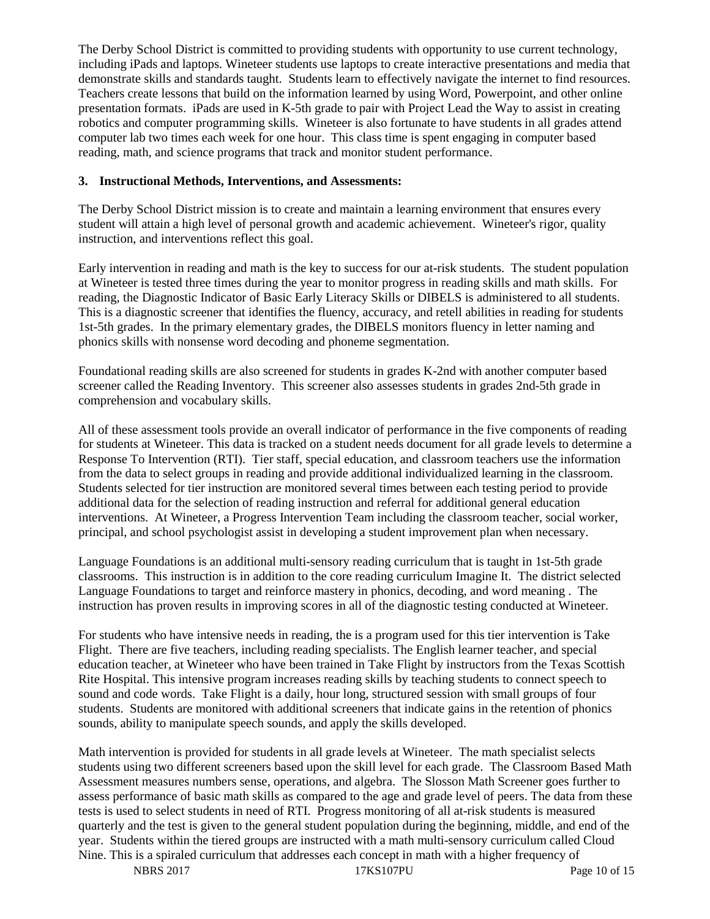The Derby School District is committed to providing students with opportunity to use current technology, including iPads and laptops. Wineteer students use laptops to create interactive presentations and media that demonstrate skills and standards taught. Students learn to effectively navigate the internet to find resources. Teachers create lessons that build on the information learned by using Word, Powerpoint, and other online presentation formats. iPads are used in K-5th grade to pair with Project Lead the Way to assist in creating robotics and computer programming skills. Wineteer is also fortunate to have students in all grades attend computer lab two times each week for one hour. This class time is spent engaging in computer based reading, math, and science programs that track and monitor student performance.

#### **3. Instructional Methods, Interventions, and Assessments:**

The Derby School District mission is to create and maintain a learning environment that ensures every student will attain a high level of personal growth and academic achievement. Wineteer's rigor, quality instruction, and interventions reflect this goal.

Early intervention in reading and math is the key to success for our at-risk students. The student population at Wineteer is tested three times during the year to monitor progress in reading skills and math skills. For reading, the Diagnostic Indicator of Basic Early Literacy Skills or DIBELS is administered to all students. This is a diagnostic screener that identifies the fluency, accuracy, and retell abilities in reading for students 1st-5th grades. In the primary elementary grades, the DIBELS monitors fluency in letter naming and phonics skills with nonsense word decoding and phoneme segmentation.

Foundational reading skills are also screened for students in grades K-2nd with another computer based screener called the Reading Inventory. This screener also assesses students in grades 2nd-5th grade in comprehension and vocabulary skills.

All of these assessment tools provide an overall indicator of performance in the five components of reading for students at Wineteer. This data is tracked on a student needs document for all grade levels to determine a Response To Intervention (RTI). Tier staff, special education, and classroom teachers use the information from the data to select groups in reading and provide additional individualized learning in the classroom. Students selected for tier instruction are monitored several times between each testing period to provide additional data for the selection of reading instruction and referral for additional general education interventions. At Wineteer, a Progress Intervention Team including the classroom teacher, social worker, principal, and school psychologist assist in developing a student improvement plan when necessary.

Language Foundations is an additional multi-sensory reading curriculum that is taught in 1st-5th grade classrooms. This instruction is in addition to the core reading curriculum Imagine It. The district selected Language Foundations to target and reinforce mastery in phonics, decoding, and word meaning . The instruction has proven results in improving scores in all of the diagnostic testing conducted at Wineteer.

For students who have intensive needs in reading, the is a program used for this tier intervention is Take Flight. There are five teachers, including reading specialists. The English learner teacher, and special education teacher, at Wineteer who have been trained in Take Flight by instructors from the Texas Scottish Rite Hospital. This intensive program increases reading skills by teaching students to connect speech to sound and code words. Take Flight is a daily, hour long, structured session with small groups of four students. Students are monitored with additional screeners that indicate gains in the retention of phonics sounds, ability to manipulate speech sounds, and apply the skills developed.

Math intervention is provided for students in all grade levels at Wineteer. The math specialist selects students using two different screeners based upon the skill level for each grade. The Classroom Based Math Assessment measures numbers sense, operations, and algebra. The Slosson Math Screener goes further to assess performance of basic math skills as compared to the age and grade level of peers. The data from these tests is used to select students in need of RTI. Progress monitoring of all at-risk students is measured quarterly and the test is given to the general student population during the beginning, middle, and end of the year. Students within the tiered groups are instructed with a math multi-sensory curriculum called Cloud Nine. This is a spiraled curriculum that addresses each concept in math with a higher frequency of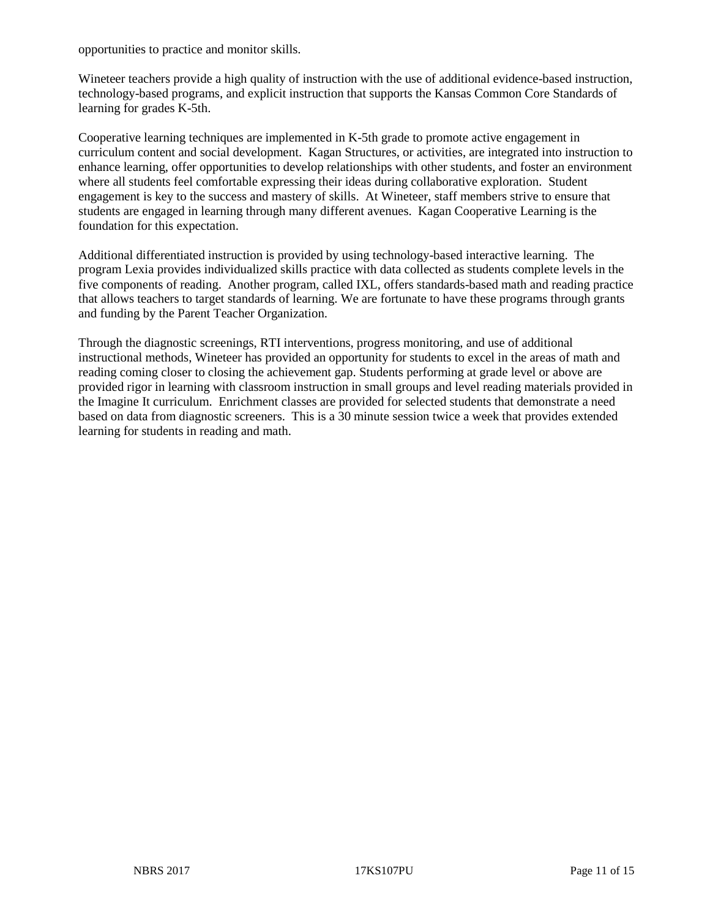opportunities to practice and monitor skills.

Wineteer teachers provide a high quality of instruction with the use of additional evidence-based instruction, technology-based programs, and explicit instruction that supports the Kansas Common Core Standards of learning for grades K-5th.

Cooperative learning techniques are implemented in K-5th grade to promote active engagement in curriculum content and social development. Kagan Structures, or activities, are integrated into instruction to enhance learning, offer opportunities to develop relationships with other students, and foster an environment where all students feel comfortable expressing their ideas during collaborative exploration. Student engagement is key to the success and mastery of skills. At Wineteer, staff members strive to ensure that students are engaged in learning through many different avenues. Kagan Cooperative Learning is the foundation for this expectation.

Additional differentiated instruction is provided by using technology-based interactive learning. The program Lexia provides individualized skills practice with data collected as students complete levels in the five components of reading. Another program, called IXL, offers standards-based math and reading practice that allows teachers to target standards of learning. We are fortunate to have these programs through grants and funding by the Parent Teacher Organization.

Through the diagnostic screenings, RTI interventions, progress monitoring, and use of additional instructional methods, Wineteer has provided an opportunity for students to excel in the areas of math and reading coming closer to closing the achievement gap. Students performing at grade level or above are provided rigor in learning with classroom instruction in small groups and level reading materials provided in the Imagine It curriculum. Enrichment classes are provided for selected students that demonstrate a need based on data from diagnostic screeners. This is a 30 minute session twice a week that provides extended learning for students in reading and math.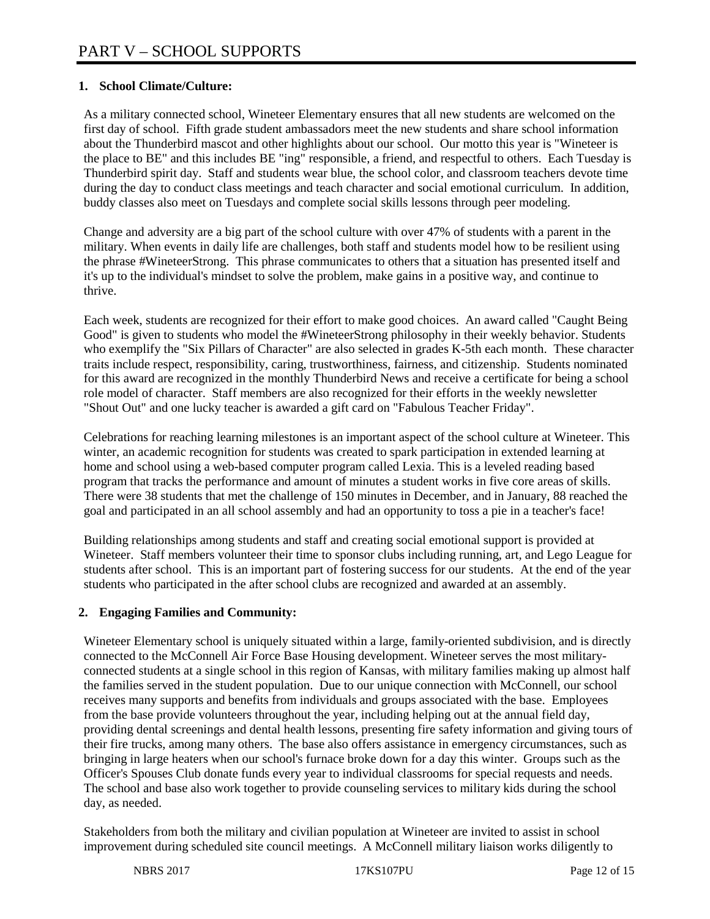## **1. School Climate/Culture:**

As a military connected school, Wineteer Elementary ensures that all new students are welcomed on the first day of school. Fifth grade student ambassadors meet the new students and share school information about the Thunderbird mascot and other highlights about our school. Our motto this year is "Wineteer is the place to BE" and this includes BE "ing" responsible, a friend, and respectful to others. Each Tuesday is Thunderbird spirit day. Staff and students wear blue, the school color, and classroom teachers devote time during the day to conduct class meetings and teach character and social emotional curriculum. In addition, buddy classes also meet on Tuesdays and complete social skills lessons through peer modeling.

Change and adversity are a big part of the school culture with over 47% of students with a parent in the military. When events in daily life are challenges, both staff and students model how to be resilient using the phrase #WineteerStrong. This phrase communicates to others that a situation has presented itself and it's up to the individual's mindset to solve the problem, make gains in a positive way, and continue to thrive.

Each week, students are recognized for their effort to make good choices. An award called "Caught Being Good" is given to students who model the #WineteerStrong philosophy in their weekly behavior. Students who exemplify the "Six Pillars of Character" are also selected in grades K-5th each month. These character traits include respect, responsibility, caring, trustworthiness, fairness, and citizenship. Students nominated for this award are recognized in the monthly Thunderbird News and receive a certificate for being a school role model of character. Staff members are also recognized for their efforts in the weekly newsletter "Shout Out" and one lucky teacher is awarded a gift card on "Fabulous Teacher Friday".

Celebrations for reaching learning milestones is an important aspect of the school culture at Wineteer. This winter, an academic recognition for students was created to spark participation in extended learning at home and school using a web-based computer program called Lexia. This is a leveled reading based program that tracks the performance and amount of minutes a student works in five core areas of skills. There were 38 students that met the challenge of 150 minutes in December, and in January, 88 reached the goal and participated in an all school assembly and had an opportunity to toss a pie in a teacher's face!

Building relationships among students and staff and creating social emotional support is provided at Wineteer. Staff members volunteer their time to sponsor clubs including running, art, and Lego League for students after school. This is an important part of fostering success for our students. At the end of the year students who participated in the after school clubs are recognized and awarded at an assembly.

## **2. Engaging Families and Community:**

Wineteer Elementary school is uniquely situated within a large, family-oriented subdivision, and is directly connected to the McConnell Air Force Base Housing development. Wineteer serves the most militaryconnected students at a single school in this region of Kansas, with military families making up almost half the families served in the student population. Due to our unique connection with McConnell, our school receives many supports and benefits from individuals and groups associated with the base. Employees from the base provide volunteers throughout the year, including helping out at the annual field day, providing dental screenings and dental health lessons, presenting fire safety information and giving tours of their fire trucks, among many others. The base also offers assistance in emergency circumstances, such as bringing in large heaters when our school's furnace broke down for a day this winter. Groups such as the Officer's Spouses Club donate funds every year to individual classrooms for special requests and needs. The school and base also work together to provide counseling services to military kids during the school day, as needed.

Stakeholders from both the military and civilian population at Wineteer are invited to assist in school improvement during scheduled site council meetings. A McConnell military liaison works diligently to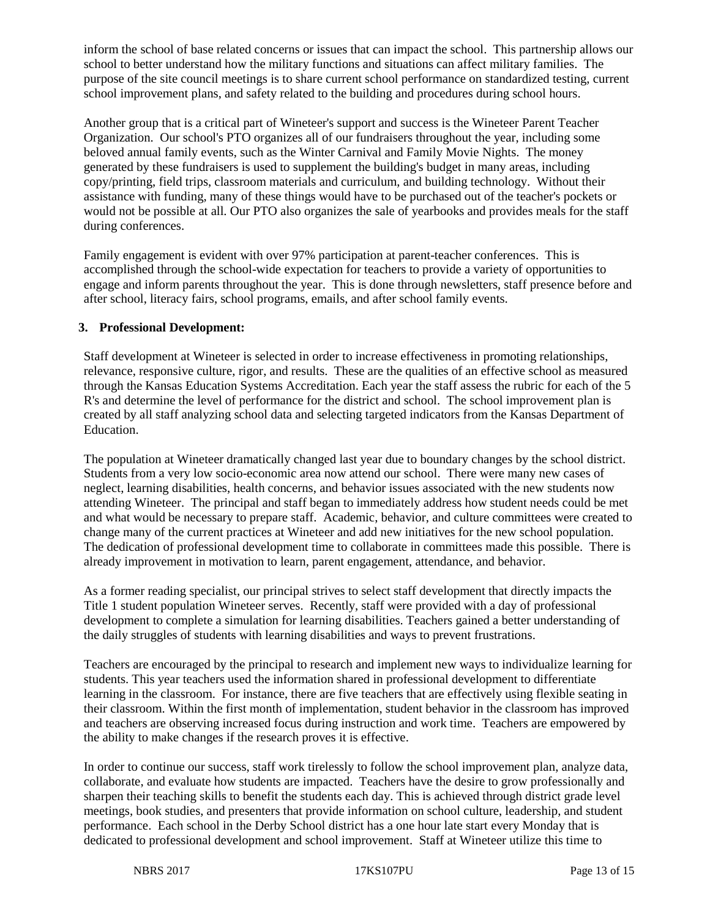inform the school of base related concerns or issues that can impact the school. This partnership allows our school to better understand how the military functions and situations can affect military families. The purpose of the site council meetings is to share current school performance on standardized testing, current school improvement plans, and safety related to the building and procedures during school hours.

Another group that is a critical part of Wineteer's support and success is the Wineteer Parent Teacher Organization. Our school's PTO organizes all of our fundraisers throughout the year, including some beloved annual family events, such as the Winter Carnival and Family Movie Nights. The money generated by these fundraisers is used to supplement the building's budget in many areas, including copy/printing, field trips, classroom materials and curriculum, and building technology. Without their assistance with funding, many of these things would have to be purchased out of the teacher's pockets or would not be possible at all. Our PTO also organizes the sale of yearbooks and provides meals for the staff during conferences.

Family engagement is evident with over 97% participation at parent-teacher conferences. This is accomplished through the school-wide expectation for teachers to provide a variety of opportunities to engage and inform parents throughout the year. This is done through newsletters, staff presence before and after school, literacy fairs, school programs, emails, and after school family events.

#### **3. Professional Development:**

Staff development at Wineteer is selected in order to increase effectiveness in promoting relationships, relevance, responsive culture, rigor, and results. These are the qualities of an effective school as measured through the Kansas Education Systems Accreditation. Each year the staff assess the rubric for each of the 5 R's and determine the level of performance for the district and school. The school improvement plan is created by all staff analyzing school data and selecting targeted indicators from the Kansas Department of Education.

The population at Wineteer dramatically changed last year due to boundary changes by the school district. Students from a very low socio-economic area now attend our school. There were many new cases of neglect, learning disabilities, health concerns, and behavior issues associated with the new students now attending Wineteer. The principal and staff began to immediately address how student needs could be met and what would be necessary to prepare staff. Academic, behavior, and culture committees were created to change many of the current practices at Wineteer and add new initiatives for the new school population. The dedication of professional development time to collaborate in committees made this possible. There is already improvement in motivation to learn, parent engagement, attendance, and behavior.

As a former reading specialist, our principal strives to select staff development that directly impacts the Title 1 student population Wineteer serves. Recently, staff were provided with a day of professional development to complete a simulation for learning disabilities. Teachers gained a better understanding of the daily struggles of students with learning disabilities and ways to prevent frustrations.

Teachers are encouraged by the principal to research and implement new ways to individualize learning for students. This year teachers used the information shared in professional development to differentiate learning in the classroom. For instance, there are five teachers that are effectively using flexible seating in their classroom. Within the first month of implementation, student behavior in the classroom has improved and teachers are observing increased focus during instruction and work time. Teachers are empowered by the ability to make changes if the research proves it is effective.

In order to continue our success, staff work tirelessly to follow the school improvement plan, analyze data, collaborate, and evaluate how students are impacted. Teachers have the desire to grow professionally and sharpen their teaching skills to benefit the students each day. This is achieved through district grade level meetings, book studies, and presenters that provide information on school culture, leadership, and student performance. Each school in the Derby School district has a one hour late start every Monday that is dedicated to professional development and school improvement. Staff at Wineteer utilize this time to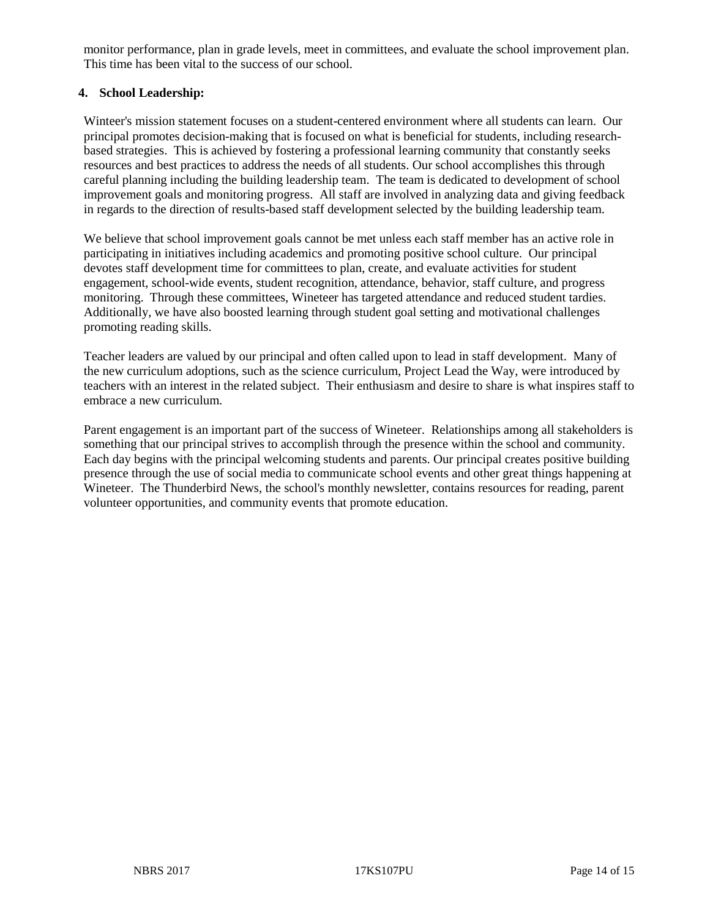monitor performance, plan in grade levels, meet in committees, and evaluate the school improvement plan. This time has been vital to the success of our school.

#### **4. School Leadership:**

Winteer's mission statement focuses on a student-centered environment where all students can learn. Our principal promotes decision-making that is focused on what is beneficial for students, including researchbased strategies. This is achieved by fostering a professional learning community that constantly seeks resources and best practices to address the needs of all students. Our school accomplishes this through careful planning including the building leadership team. The team is dedicated to development of school improvement goals and monitoring progress. All staff are involved in analyzing data and giving feedback in regards to the direction of results-based staff development selected by the building leadership team.

We believe that school improvement goals cannot be met unless each staff member has an active role in participating in initiatives including academics and promoting positive school culture. Our principal devotes staff development time for committees to plan, create, and evaluate activities for student engagement, school-wide events, student recognition, attendance, behavior, staff culture, and progress monitoring. Through these committees, Wineteer has targeted attendance and reduced student tardies. Additionally, we have also boosted learning through student goal setting and motivational challenges promoting reading skills.

Teacher leaders are valued by our principal and often called upon to lead in staff development. Many of the new curriculum adoptions, such as the science curriculum, Project Lead the Way, were introduced by teachers with an interest in the related subject. Their enthusiasm and desire to share is what inspires staff to embrace a new curriculum.

Parent engagement is an important part of the success of Wineteer. Relationships among all stakeholders is something that our principal strives to accomplish through the presence within the school and community. Each day begins with the principal welcoming students and parents. Our principal creates positive building presence through the use of social media to communicate school events and other great things happening at Wineteer. The Thunderbird News, the school's monthly newsletter, contains resources for reading, parent volunteer opportunities, and community events that promote education.